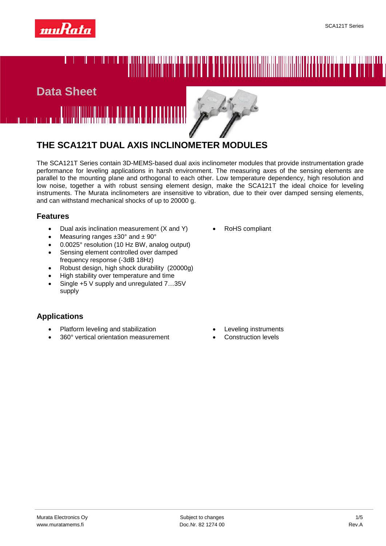





# **THE SCA121T DUAL AXIS INCLINOMETER MODULES**

The SCA121T Series contain 3D-MEMS-based dual axis inclinometer modules that provide instrumentation grade performance for leveling applications in harsh environment. The measuring axes of the sensing elements are parallel to the mounting plane and orthogonal to each other. Low temperature dependency, high resolution and low noise, together a with robust sensing element design, make the SCA121T the ideal choice for leveling instruments. The Murata inclinometers are insensitive to vibration, due to their over damped sensing elements, and can withstand mechanical shocks of up to 20000 g.

## **Features**

- Dual axis inclination measurement (X and Y)
- Measuring ranges  $\pm 30^\circ$  and  $\pm 90^\circ$
- 0.0025° resolution (10 Hz BW, analog output)
- Sensing element controlled over damped frequency response (-3dB 18Hz)
- Robust design, high shock durability (20000g)
- High stability over temperature and time
- Single +5 V supply and unregulated 7...35V supply

## **Applications**

- Platform leveling and stabilization
- 360° vertical orientation measurement

• RoHS compliant

- Leveling instruments
- Construction levels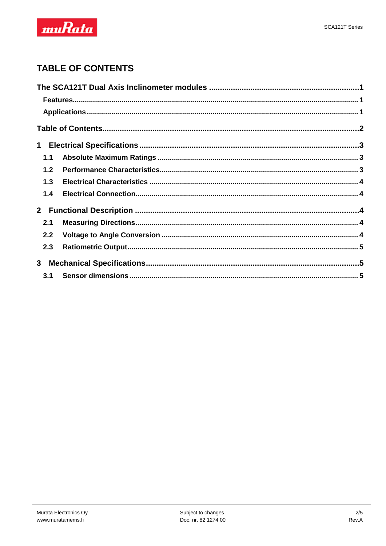

## **TABLE OF CONTENTS**

| 1.1 |     |  |
|-----|-----|--|
| 1.2 |     |  |
| 1.3 |     |  |
| 1.4 |     |  |
|     |     |  |
| 2.1 |     |  |
| 2.2 |     |  |
| 2.3 |     |  |
|     |     |  |
|     | 3.1 |  |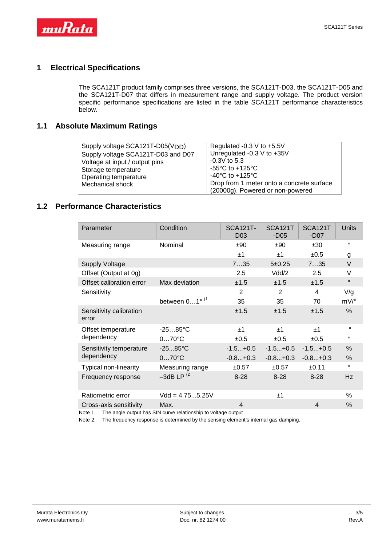

## **1 Electrical Specifications**

The SCA121T product family comprises three versions, the SCA121T-D03, the SCA121T-D05 and the SCA121T-D07 that differs in measurement range and supply voltage. The product version specific performance specifications are listed in the table SCA121T performance characteristics below.

#### **1.1 Absolute Maximum Ratings**

| Supply voltage SCA121T-D05(V <sub>DD</sub> ) | Regulated -0.3 V to $+5.5V$               |
|----------------------------------------------|-------------------------------------------|
| Supply voltage SCA121T-D03 and D07           | Unregulated -0.3 V to +35V                |
| Voltage at input / output pins               | $-0.3V$ to 5.3                            |
| Storage temperature                          | $-55^{\circ}$ C to $+125^{\circ}$ C       |
| Operating temperature                        | -40 $^{\circ}$ C to +125 $^{\circ}$ C     |
| Mechanical shock                             | Drop from 1 meter onto a concrete surface |
|                                              | (20000g). Powered or non-powered          |

### **1.2 Performance Characteristics**

| Parameter                        | Condition                 | <b>SCA121T-</b><br>D <sub>03</sub> | <b>SCA121T</b><br>$-D05$ | SCA <sub>121</sub> T<br>$-D07$ | Units   |
|----------------------------------|---------------------------|------------------------------------|--------------------------|--------------------------------|---------|
| Measuring range                  | Nominal                   | ±90                                | ±90                      | ±30                            | $\circ$ |
|                                  |                           | ±1                                 | $+1$                     | ±0.5                           | g       |
| <b>Supply Voltage</b>            |                           | 735                                | $5 + 0.25$               | 735                            | $\vee$  |
| Offset (Output at 0g)            |                           | 2.5                                | Vdd/2                    | 2.5                            | V       |
| Offset calibration error         | Max deviation             | ±1.5                               | ±1.5                     | ±1.5                           | $\circ$ |
| Sensitivity                      |                           | 2                                  | 2                        | $\overline{4}$                 | V/g     |
|                                  | between 01° <sup>(1</sup> | 35                                 | 35                       | 70                             | $mV$ /° |
| Sensitivity calibration<br>error |                           | ±1.5                               | ±1.5                     | ±1.5                           | %       |
| Offset temperature               | $-2585^{\circ}C$          | $+1$                               | $+1$                     | $+1$                           | $\circ$ |
| dependency                       | $070$ °C                  | ±0.5                               | ±0.5                     | ±0.5                           | $\circ$ |
| Sensitivity temperature          | $-2585^{\circ}C$          | $-1.5+0.5$                         | $-1.5+0.5$               | $-1.5+0.5$                     | %       |
| dependency                       | $070$ °C                  | $-0.8+0.3$                         | $-0.8+0.3$               | $-0.8+0.3$                     | %       |
| Typical non-linearity            | Measuring range           | ±0.57                              | ±0.57                    | ±0.11                          | $\circ$ |
| Frequency response               | $-3$ dB LP $(2)$          | $8 - 28$                           | $8 - 28$                 | $8 - 28$                       | Hz      |
| Ratiometric error                | $Vdd = 4.755.25V$         |                                    | ±1                       |                                | %       |
| Cross-axis sensitivity           | Max.                      | 4                                  |                          | $\overline{4}$                 | %       |

Note 1. The angle output has SIN curve relationship to voltage output

Note 2. The frequency response is determined by the sensing element's internal gas damping.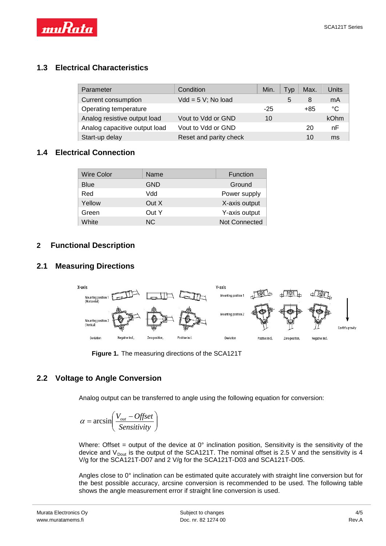

## **1.3 Electrical Characteristics**

| Parameter                     | Condition              | Min.  | Tvp | Max. | Units |
|-------------------------------|------------------------|-------|-----|------|-------|
| Current consumption           | $Vdd = 5 V$ ; No load  |       | 5   | 8    | mA    |
| Operating temperature         |                        | $-25$ |     | +85  | °C    |
| Analog resistive output load  | Vout to Vdd or GND     | 10    |     |      | kOhm  |
| Analog capacitive output load | Vout to Vdd or GND     |       |     | 20   | nF    |
| Start-up delay                | Reset and parity check |       |     | 10   | ms    |

## **1.4 Electrical Connection**

| <b>Wire Color</b> | Name       | <b>Function</b>      |
|-------------------|------------|----------------------|
| Blue              | <b>GND</b> | Ground               |
| Red               | Mdd        | Power supply         |
| Yellow            | Out X      | X-axis output        |
| Green             | Out Y      | Y-axis output        |
| White             | NC.        | <b>Not Connected</b> |

## **2 Functional Description**

## **2.1 Measuring Directions**



**Figure 1.** The measuring directions of the SCA121T

## **2.2 Voltage to Angle Conversion**

Analog output can be transferred to angle using the following equation for conversion:

$$
\alpha = \arcsin\left(\frac{V_{out} - \text{Offset}}{\text{Sensitivity}}\right)
$$

Where: Offset = output of the device at  $0^\circ$  inclination position, Sensitivity is the sensitivity of the device and  $V_{Dout}$  is the output of the SCA121T. The nominal offset is 2.5 V and the sensitivity is 4 V/g for the SCA121T-D07 and 2 V/g for the SCA121T-D03 and SCA121T-D05.

Angles close to 0° inclination can be estimated quite accurately with straight line conversion but for the best possible accuracy, arcsine conversion is recommended to be used. The following table shows the angle measurement error if straight line conversion is used.